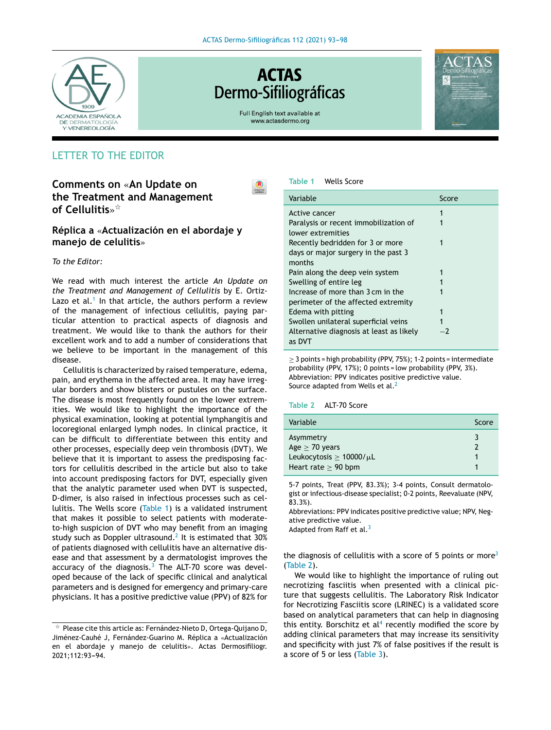

# **ACTAS** Dermo-Sifiliográficas

Full English text available at www.actasdermo.org

 $\bullet$ 



# LETTER TO THE EDITOR

**Comments on** «**An Update on the Treatment and Management of Cellulitis**» -

**Réplica a** «**Actualización en el abordaje y manejo de celulitis**»

# *To the Editor:*

We read with much interest the article *An Update on the Treatment and Management of Cellulitis* by E. Ortiz-Lazo et al.<sup>[1](#page-1-0)</sup> In that article, the authors perform a review of the management of infectious cellulitis, paying particular attention to practical aspects of diagnosis and treatment. We would like to thank the authors for their excellent work and to add a number of considerations that we believe to be important in the management of this disease.

Cellulitis is characterized by raised temperature, edema, pain, and erythema in the affected area. It may have irregular borders and show blisters or pustules on the surface. The disease is most frequently found on the lower extremities. We would like to highlight the importance of the physical examination, looking at potential lymphangitis and locoregional enlarged lymph nodes. In clinical practice, it can be difficult to differentiate between this entity and other processes, especially deep vein thrombosis (DVT). We believe that it is important to assess the predisposing factors for cellulitis described in the article but also to take into account predisposing factors for DVT, especially given that the analytic parameter used when DVT is suspected, D-dimer, is also raised in infectious processes such as cellulitis. The Wells score (Table 1) is a validated instrument that makes it possible to select patients with moderateto-high suspicion of DVT who may benefit from an imaging study such as Doppler ultrasound. $^2$  $^2$  It is estimated that 30% of patients diagnosed with cellulitis have an alternative disease and that assessment by a dermatologist improves the accuracy of the diagnosis. $3$  The ALT-70 score was developed because of the lack of specific clinical and analytical parameters and is designed for emergency and primary-care physicians. It has a positive predictive value (PPV) of 82% for



| Variable                                 | Score |  |
|------------------------------------------|-------|--|
| Active cancer                            | 1     |  |
| Paralysis or recent immobilization of    |       |  |
| lower extremities                        |       |  |
| Recently bedridden for 3 or more         |       |  |
| days or major surgery in the past 3      |       |  |
| months                                   |       |  |
| Pain along the deep vein system          |       |  |
| Swelling of entire leg                   |       |  |
| Increase of more than 3 cm in the        |       |  |
| perimeter of the affected extremity      |       |  |
| Edema with pitting                       | 1     |  |
| Swollen unilateral superficial veins     |       |  |
| Alternative diagnosis at least as likely | -7    |  |
| as DVT                                   |       |  |

 $\geq$  3 points = high probability (PPV, 75%); 1-2 points = intermediate probability (PPV, 17%); 0 points = low probability (PPV, 3%). Abbreviation: PPV indicates positive predictive value. Source adapted from Wells et al.<sup>[2](#page-1-0)</sup>

#### **Table 2** ALT-70 Score

| Variable                                                                                        | Score |
|-------------------------------------------------------------------------------------------------|-------|
| Asymmetry<br>Age $\geq$ 70 years<br>Leukocytosis $\geq 10000/\mu L$<br>Heart rate $\geq$ 90 bpm |       |

5-7 points, Treat (PPV, 83.3%); 3-4 points, Consult dermatologist or infectious-disease specialist; 0-2 points, Reevaluate (NPV, 83.3%).

Abbreviations: PPV indicates positive predictive value; NPV, Negative predictive value.

Adapted from Raff et al.<sup>[3](#page-1-0)</sup>

the diagnosis of cellulitis with a score of 5 points or more<sup>[3](#page-1-0)</sup> (Table 2).

We would like to highlight the importance of ruling out necrotizing fasciitis when presented with a clinical picture that suggests cellulitis. The Laboratory Risk Indicator for Necrotizing Fasciitis score (LRINEC) is a validated score based on analytical parameters that can help in diagnosing this entity. Borschitz et  $al<sup>4</sup>$  $al<sup>4</sup>$  $al<sup>4</sup>$  recently modified the score by adding clinical parameters that may increase its sensitivity and specificity with just 7% of false positives if the result is a score of 5 or less ([Table](#page-1-0) 3).

 $^\star$  Please cite this article as: Fernández-Nieto D, Ortega-Quijano D, Jiménez-Cauhé J, Fernández-Guarino M. Réplica a «Actualización en el abordaje y manejo de celulitis». Actas Dermosifiliogr. 2021;112:93-94.